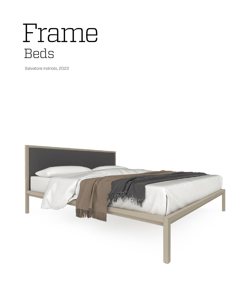# Frame Beds

Salvatore Indriolo, 2022

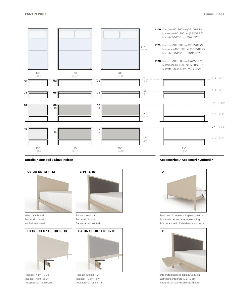



Metal headboard Testiera in metallo Kopfteil aus Metall



Recess: -7 cm (-2.8") Incasso: -7 cm (-2.8") Aussparung: -7 cm (-2.8")



Padded headboard Testiera imbottita Gepolstertem Kopfteil



Recess: -12 cm (-4.7") Incasso: -12 cm (-4.7") Aussparung: -12 cm (-4.7")

**Details / Dettagli / Einzelheiten Accessories / Accessori / Zubehör**



Backrest for freestanding headboards Schienale per testiere freestanding Rückenlehne für freistehende Kopfteile



Integrated bedside table (33x45 cm) Comodino integrato (33x45 cm) Integrierter Nachttisch (33x45 cm)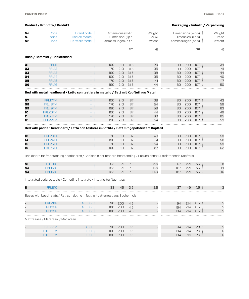|                  | Product / Prodotto / Produkt       |                                                                                                                      |                                                                 |     |                   |      |      |                                                               |     |                           |  | Packaging / Imballo / Verpackung |
|------------------|------------------------------------|----------------------------------------------------------------------------------------------------------------------|-----------------------------------------------------------------|-----|-------------------|------|------|---------------------------------------------------------------|-----|---------------------------|--|----------------------------------|
| No.<br>N.<br>Nr. | Code<br>Codice<br>Code             | <b>Brand code</b><br>Codice marca<br>Herstellercode                                                                  | Dimensions (w·d·h)<br>Dimensioni (l·p·h)<br>Abmessungen (b·t·h) |     | Weight<br>Gewicht | Peso |      | Dimensions (wdh)<br>Dimensioni (l·p·h)<br>Abmessungen (b·t·h) |     | Weight<br>Peso<br>Gewicht |  |                                  |
|                  |                                    |                                                                                                                      |                                                                 |     | cm :              |      | kg   |                                                               |     | cm :                      |  | kg                               |
|                  | Base / Sommier / Schlafsessel      |                                                                                                                      |                                                                 |     |                   |      |      |                                                               |     |                           |  |                                  |
| 01               | FRL11                              |                                                                                                                      | 100                                                             | 210 | 31.5              |      | 29   | 80                                                            | 200 | 107                       |  | 34                               |
| 02               | FRL12                              |                                                                                                                      | 170                                                             | 210 | 31.5              |      | 35   | 80                                                            | 200 | 107                       |  | 41                               |
| 03               | FRL13                              |                                                                                                                      | 190                                                             | 210 | 31.5              |      | 38   | 80                                                            | 200 | 107                       |  | 44                               |
| 04               | FRL14                              |                                                                                                                      | 100                                                             | 210 | 31.5              |      | 35   | 80                                                            | 200 | 107                       |  | 40                               |
| 05               | FRL15                              |                                                                                                                      | 170                                                             | 210 | 31.5              |      | 41   | 80                                                            | 200 | 107                       |  | 47                               |
| 06               | FRL16                              |                                                                                                                      | 190                                                             | 210 | 31.5              |      | 44   | 80                                                            | 200 | 107                       |  | 50                               |
|                  |                                    | Bed with metal headboard / Letto con testiera in metallo / Bett mit Kopfteil aus Metall                              |                                                                 |     |                   |      |      |                                                               |     |                           |  |                                  |
| 07               | FRL17TM                            |                                                                                                                      | 100                                                             | 210 | 87                |      | 38   | 80                                                            | 200 | 107                       |  | 43                               |
| 08               | FRL18TM                            |                                                                                                                      | 170                                                             | 210 | 87                |      | 54   | 80                                                            | 200 | 107                       |  | 59                               |
| 09               | FRL19TM                            |                                                                                                                      | 190                                                             | 210 | 87                |      | 58   | 80                                                            | 200 | 107                       |  | 63                               |
| 10               | FRL20TM                            |                                                                                                                      | 100                                                             | 210 | 87                |      | 44   | 80                                                            | 200 | 107                       |  | 49                               |
| 11               | FRL21TM                            |                                                                                                                      | 170                                                             | 210 | 87                |      | 60   | 80                                                            | 200 | 107                       |  | 65                               |
| 12               | FRL22TM                            |                                                                                                                      | 190                                                             | 210 | 87                |      | 54   | 80                                                            | 200 | 107                       |  | 59                               |
|                  |                                    | Bed with padded headboard / Letto con testiera imbottita / Bett mit gepolstertem Kopfteil                            |                                                                 |     |                   |      |      |                                                               |     |                           |  |                                  |
| 13               | FRL23TT                            |                                                                                                                      | 170                                                             | 210 | 87                |      | 48   | 80                                                            | 200 | 107                       |  | 53                               |
| 14               | FRL24TT                            |                                                                                                                      | 190                                                             | 210 | 87                |      | 51   | 80                                                            | 200 | 107                       |  | 56                               |
| 15               | FRL25TT                            |                                                                                                                      | 170                                                             | 210 | 87                |      | 54   | 80                                                            | 200 | 107                       |  | 59                               |
| 16               | FRL26TT                            |                                                                                                                      | 190                                                             | 210 | 87                |      | 57   | 80                                                            | 200 | 107:                      |  | 62                               |
|                  |                                    | Backboard for freestanding headboards / Schienale per testiere freestanding / Rückenlehne für freistehende Kopfteile |                                                                 |     |                   |      |      |                                                               |     |                           |  |                                  |
| A1               | <b>FRL111S</b>                     |                                                                                                                      | 93                                                              | 1.4 | 52                |      | 5.5  | 97                                                            | 5.4 | 56                        |  | 8                                |
| А2               | <b>FRL112S</b>                     |                                                                                                                      | 163                                                             | 1.4 | 52                |      | 11.5 | 167                                                           | 5.4 | 56                        |  | 14                               |
| АЗ               | <b>FRL113S</b>                     |                                                                                                                      | 183                                                             | 1.4 | 52                | 14.0 |      | 187                                                           | 5.4 | 56                        |  | 16                               |
|                  |                                    | Integrated bedside table / Comodino integrato / Integrierter Nachttisch                                              |                                                                 |     |                   |      |      |                                                               |     |                           |  |                                  |
| в                | FRL81C                             |                                                                                                                      | 33                                                              | 45  | $3.5$ :           |      | 2.5  | 37                                                            | 49  | 7.5                       |  | 3                                |
|                  |                                    | Bases with beech slats / Reti con doghe in faggio / Lattenrost aus Buchenholz                                        |                                                                 |     |                   |      |      |                                                               |     |                           |  |                                  |
|                  | <b>FRL211R</b>                     | A0805                                                                                                                | 90                                                              | 200 | 4.5               |      |      | 94                                                            | 214 | 8.5                       |  | 5                                |
|                  | <b>FRL212R</b>                     | A0805                                                                                                                | 160                                                             | 200 | 4.5               |      |      | 164                                                           | 214 | 8.5                       |  | 5                                |
|                  | <b>FRL213R</b>                     | A0805                                                                                                                | 180                                                             | 200 | 4.5               |      |      | 184                                                           | 214 | 8.5                       |  | 5                                |
|                  | Mattresses / Materassi / Matratzen |                                                                                                                      |                                                                 |     |                   |      |      |                                                               |     |                           |  |                                  |
|                  |                                    |                                                                                                                      |                                                                 |     |                   |      |      |                                                               |     |                           |  |                                  |
|                  | <b>FRL221M</b>                     | A08                                                                                                                  | 90                                                              | 200 | 21                |      |      | 94                                                            | 214 | 26                        |  | 5                                |
|                  | <b>FRL222M</b>                     | A08                                                                                                                  | 160                                                             | 200 | 21                |      |      | 164                                                           | 214 | 26                        |  | 5                                |
|                  | <b>FRL223M</b>                     | 80A                                                                                                                  | 180                                                             | 200 | 21                |      |      | 184                                                           | 214 | 26                        |  | 5                                |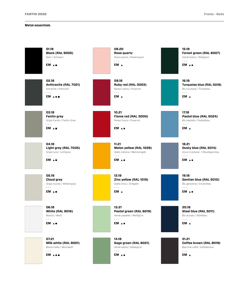### **Metal essentials**

| 01.18<br><b>Black (RAL 9005)</b><br>Nero / Schwarz<br>$\sim$ $\sim$<br>EM A.                                                                                                                                                                                                                                                                                                                                                                                        | 08.20<br>Rose quartz<br>Rosa quarzo / Rosenquarz<br>$\sim$ $\sim$ $\sim$<br>EM A     | 15.19<br>Forest green (RAL 6007)<br>Verde bosco / Waldgrün<br>$\sim$ $\sim$ $\sim$<br>EM A .                                                                                                                                                                                                                                                                                                                                                                      |
|---------------------------------------------------------------------------------------------------------------------------------------------------------------------------------------------------------------------------------------------------------------------------------------------------------------------------------------------------------------------------------------------------------------------------------------------------------------------|--------------------------------------------------------------------------------------|-------------------------------------------------------------------------------------------------------------------------------------------------------------------------------------------------------------------------------------------------------------------------------------------------------------------------------------------------------------------------------------------------------------------------------------------------------------------|
| 02.18<br>Anthracite (RAL 7021)<br>Antracite / Anthrazit<br>$\sim$ $\sim$ $\sim$<br>EM A                                                                                                                                                                                                                                                                                                                                                                             | 09.18<br>Ruby red (RAL 3003)<br>Rosso rubino / Rubinrot<br>$ -$<br>EM A              | 16.19<br>Turquoise blue (RAL 5018)<br>Blu turchese / Türkisblau<br>$\sim$ $\sim$ $\sim$<br>EM A                                                                                                                                                                                                                                                                                                                                                                   |
| 03.18<br><b>Fantin</b> grey<br>Grigio Fantin / Fantin-Grau<br>$\sim$ $\sim$ $\sim$<br>EM A.                                                                                                                                                                                                                                                                                                                                                                         | 10.21<br>Flame red (RAL 3000)<br>Rosso fuoco / Feuerrot<br>$\sim$ $-$<br>EM A.       | 17.18<br>Pastel blue (RAL 5024)<br>Blu pastello / Pastellblau<br>$\sim$ $\sim$ $\sim$<br>EM A                                                                                                                                                                                                                                                                                                                                                                     |
| 04.18<br>Light grey (RAL 7035)<br>Grigio luce / Lichtgrau<br>$\frac{1}{2} \frac{1}{2} \frac{1}{2} \frac{1}{2} \frac{1}{2} \frac{1}{2} \frac{1}{2} \frac{1}{2} \frac{1}{2} \frac{1}{2} \frac{1}{2} \frac{1}{2} \frac{1}{2} \frac{1}{2} \frac{1}{2} \frac{1}{2} \frac{1}{2} \frac{1}{2} \frac{1}{2} \frac{1}{2} \frac{1}{2} \frac{1}{2} \frac{1}{2} \frac{1}{2} \frac{1}{2} \frac{1}{2} \frac{1}{2} \frac{1}{2} \frac{1}{2} \frac{1}{2} \frac{1}{2} \frac{$<br>EM A . | 11.21<br>Melon yellow (RAL 1028)<br>Giallo melone / Melonengelb<br>$- - -$<br>EM A . | 18.21<br>Dusty blue (RAL 5014)<br>Azzurro polvere / Staubiges blau<br>$\frac{1}{2} \left( \frac{1}{2} \right) = \frac{1}{2} \left( \frac{1}{2} \right)$<br>EM A .                                                                                                                                                                                                                                                                                                 |
| 05.19<br><b>Cloud grey</b><br>Grigio nuvola / Wolkengrau<br>$- - -$<br>EM A .                                                                                                                                                                                                                                                                                                                                                                                       | 12.19<br>Zinc yellow (RAL 1018)<br>Giallo zinco / Zinkgelb<br>$- - -$<br>EM A        | 19.18<br>Gentian blue (RAL 5010)<br>Blu genziana / Enzianblau<br>$\sim$ $\sim$ $\sim$<br>EM A .                                                                                                                                                                                                                                                                                                                                                                   |
| 06.18<br><b>White (RAL 9016)</b><br>Bianco / Weiß<br>$- - -$<br>EM A .                                                                                                                                                                                                                                                                                                                                                                                              | 13.21<br>Pastel green (RAL 6019)<br>Verde pastello / Weißgrün<br>$- - -$<br>EM A ●   | 20.19<br>Steel blue (RAL 5011)<br>Blu acciaio / Stahlblau<br>$\frac{1}{2} \frac{1}{2} \frac{1}{2} \frac{1}{2} \frac{1}{2} \frac{1}{2} \frac{1}{2} \frac{1}{2} \frac{1}{2} \frac{1}{2} \frac{1}{2} \frac{1}{2} \frac{1}{2} \frac{1}{2} \frac{1}{2} \frac{1}{2} \frac{1}{2} \frac{1}{2} \frac{1}{2} \frac{1}{2} \frac{1}{2} \frac{1}{2} \frac{1}{2} \frac{1}{2} \frac{1}{2} \frac{1}{2} \frac{1}{2} \frac{1}{2} \frac{1}{2} \frac{1}{2} \frac{1}{2} \frac{$<br>EM A |
| 07.21<br>Milk white (RAL 9001)<br>Bianco latte / Milchweiß<br>$- - -$<br>EM A                                                                                                                                                                                                                                                                                                                                                                                       | 14.18<br>Sage green (RAL 6021)<br>Verde salvia / Salbeigrün<br>$- - -$<br>EM A.      | 21.21<br>Coffee brown (RAL 8019)<br>Marrone caffè / Kaffeebraun<br>$- - -$<br>EM A                                                                                                                                                                                                                                                                                                                                                                                |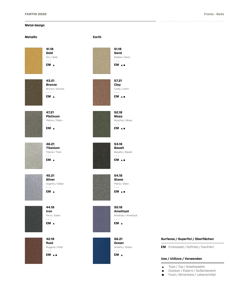# **Metal design**

#### **Metallic Earth**



**41.18 Gold** Oro / Gold - - - **EM**



**43.21 Bronze** Bronzo / Bronze - - - **EM**



**Platinum** Platino / Platin - - - **EM**



**46.21 Titanium** Titanio / Titan - - - **EM**



**45.21 Silver** Argento / Silber - - - **EM**



**44.18 Iron** Ferro / Eisen - - -



**EM**

**42.19 Rust** Ruggine / Rost - - - **EM**



**55.18 Amethyst** Ametista / Amethyst - - - **EM**

**51.18 Sand** Sabbia / Sand  $- - -$ **EM**

**57.21 Clay** Creta / Lehm - - - **EM**

**52.18 Moss** Muschio / Moos - - - **EM**

**53.18 Basalt** Basalto / Basalt - - - **EM**

**54.18 Stone** Pietra / Stein - - - **EM**



#### **Surfaces / Superfici / Oberflächen**

**EM** Embossed / Goffrato / Gaufriert

# **Use / Utilizzo / Verwenden**

- Tops / Top / Arbeitsplatte  $\blacktriangle$
- Outdoor / Esterni / Außenbereich  $\bullet$
- Food / Alimentare / Lebensmittel  $\blacksquare$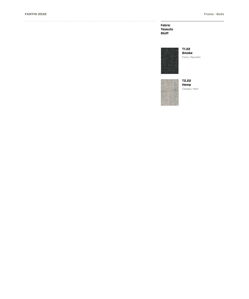**Fabric Tessuto Stoff**



**T1.22 Smoke** Fumo / Rauchen



**T2.22 Hemp**

Canapa / Hanf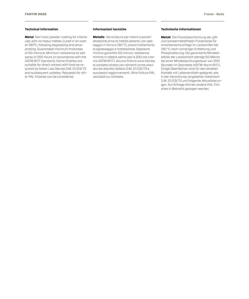### **Technical information**

**Metal** Non-toxic powder coating for interior use, with no heavy metals. Cured in an oven at 190°C, following degreasing and phosphating. Guaranteed minimum thickness of 50 microns. Minimum resistance to salt spray of 200 hours (in accordance with the ASTM B117 standard). Some finishes are suitable for direct contact with food as required by Italian Law Decree D.M. 21/03/73 and subsequent updates. Requests for other RAL finishes can be considered.

### **Informazioni tecniche**

**Metallo** Verniciatura per interni a polveri atossiche prive di metalli pesanti, con passaggio in forno a 190 °C, previo trattamento di sgrassaggio e fosfatazione. Spessore minimo garantito 50 micron, resistenza minima in nebbia salina pari a 200 ore (norma ASTM B117). Alcune finiture sono idonee al contatto diretto con alimenti come previsto dal decreto italiano D.M. 21/03/73 e successivi aggiornamenti. Altre finiture RAL valutabili su richiesta.

# **Technische Informationen**

**Metall** Die Pulverbeschichtung der giftund schwermetallfreien Pulverlacke für Innenbereiche erfolgt im Lackierofen bei 190 °C nach vorheriger Entfettung und Phosphatierung. Die garantierte Mindeststärke der Lackschicht beträgt 50 Mikron bei einer Mindestprüfungsdauer von 200 Stunden im Salznebel (ASTM-Norm B117). Einige Oberflächen sind für den direkten Kontakt mit Lebensmitteln geeignet, wie in der Verordnung vorgesehen Italienisch D.M. 21/03/73 und folgende Aktualisierungen. Auf Anfrage können andere RAL-Finishes in Betracht gezogen werden.